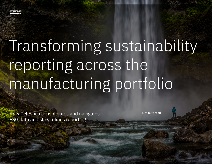

# Transforming sustainability reporting across the manufacturing portfolio

How Celestica consolidates and navigates ESG data and streamlines reporting 1

How Celestica consolidates and navigates **Example 2018** 6-minute read ESG data and streamlines reporting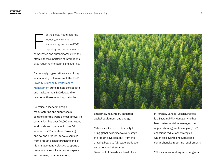or the global manufacturing industry, environmental, social and governance (ESG) reporting can be particularly complicated and cumbersome given the often extensive portfolio of international sites requiring monitoring and auditing. F

Increasingly organizations are utilizing sustainability software, such the [IBM®](https://www.ibm.com/products/envizi)  [Envizi Sustainability Performance](https://www.ibm.com/products/envizi)  [Management](https://www.ibm.com/products/envizi) suite, to help consolidate and navigate their ESG data and to overcome these reporting obstacles.

Celestica, a leader in design, manufacturing and supply chain solutions for the world's most innovative companies, has over 20,000 employees worldwide and operates in over 50 sites across 15 countries. Providing end-to-end product lifecycle services from product design through to end-oflife management, Celestica supports a range of markets, including aerospace and defense, communications,



enterprise, healthtech, industrial, capital equipment, and energy.

Celestica is known for its ability to bring global expertise to every stage of product development—from the drawing board to full-scale production and after-market services. Based out of Celestica's head office

in Toronto, Canada, Jessica Peixoto is a Sustainability Manager who has been instrumental in managing the organization's greenhouse gas (GHG) emissions reductions strategies, whilst also overseeing Celestica's comprehensive reporting requirements.

"This includes working with our global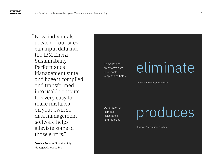Now, individuals "at each of our sites can input data into the IBM Envizi Sustainability Performance Management suite and have it compiled and transformed into usable outputs. It is very easy to make mistakes on your own, so data management software helps alleviate some of those errors."

**Jessica Peixoto**, Sustainability Manager, Celestica Inc.

Compiles and transforms data into usable outputs and helps

#### eliminate

errors from manual data entry

Automation of complex calculations and reporting

produces

finance-grade, auditable data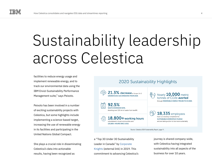### Sustainability leadership across Celestica

facilities to reduce energy usage and implement renewable energy, and to track our environmental data using the IBM Envizi Sustainability Performance Management suite," says Peixoto.

Peixoto has been involved in a number of exciting sustainability projects with Celestica, but some highlights include implementing a science-based target, increasing the use of renewable energy in its facilities and participating in the United Nations Global Compact.

She plays a crucial role in disseminating Celestica's data into actionable results, having been recognized as

![](_page_3_Picture_6.jpeg)

Source: Celestica 2020 Sustainability Report, page 11.

a "Top 30 Under 30 Sustainability Leader in Canada" by [Corporate](https://www.corporateknights.com/rankings/30-under-30-rankings/2019-30-under-30-rankings/youth-rising-meet-2019s-30-under-30-in-sustainability/)  [Knights](https://www.corporateknights.com/rankings/30-under-30-rankings/2019-30-under-30-rankings/youth-rising-meet-2019s-30-under-30-in-sustainability/) (external link) in 2019. This commitment to advancing Celestica's journey is shared company-wide, with Celestica having integrated sustainability into all aspects of the business for over 10 years.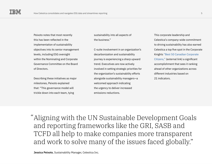Peixoto notes that most recently this has been reflected in the implementation of sustainability objectives into its senior management levels, including ESG oversight within the Nominating and Corporate Governance Committee on the Board of Directors.

Describing these initiatives as major milestones, Peixoto explained that: "This governance model will trickle down into each team, tying

sustainability into all aspects of the business."

C-suite involvement in an organization's decarbonization and sustainability journey is experiencing a sharp upward trend. Executives are now actively involved in setting strategic priorities for the organization's sustainability efforts alongside sustainability managers—a welcomed approach indicating the urgency to deliver increased emissions reductions.

This corporate leadership and Celestica's company-wide commitment to driving sustainability has also earned Celestica a top five spot in the Corporate Knights ["Best 50 Canadian Corporate](https://www.corporateknights.com/reports/2021-best-50/meet-the-2021-best-50-canadian-corporate-citizens-16250328/)  [Citizens,"](https://www.corporateknights.com/reports/2021-best-50/meet-the-2021-best-50-canadian-corporate-citizens-16250328/) (external link) a significant accomplishment that sees it ranking ahead of other organizations across different industries based on 21 indicators.

Aligning with the UN Sustainable Development Goals "and reporting frameworks like the GRI, SASB and TCFD all help to make companies more transparent and work to solve many of the issues faced globally."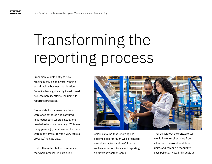## Transforming the reporting process

From manual data entry to now ranking highly on an award-winning sustainability business publication, Celestica has significantly transformed its sustainability efforts, including its reporting processes.

Global data for its many facilities were once gathered and captured in spreadsheets, where calculations needed to be done manually. "This was many years ago, but it seems like there were many errors. It was a very tedious process," Peixoto says.

IBM software has helped streamline the whole process. In particular,

![](_page_5_Picture_5.jpeg)

Celestica found that reporting has become easier through well-organized emissions factors and useful outputs such as emissions totals and reporting on different waste streams.

"For us, without the software, we would have to collect data from all around the world, in different units, and compile it manually," says Peixoto. "Now, individuals at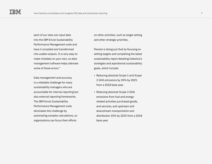each of our sites can input data into the IBM Envizi Sustainability Performance Management suite and have it compiled and transformed into usable outputs. It is very easy to make mistakes on your own, so data management software helps alleviate some of those errors."

Data management and accuracy is a relatable challenge for many sustainability managers who are accountable for internal reporting but also external reporting frameworks. The IBM Envizi Sustainability Performance Management suite eliminates this challenge by automating complex calculations, so organizations can focus their efforts

on other activities, such as target setting and other strategic priorities.

Peixoto is doing just that by focusing on setting targets and completing the latest sustainability report detailing Celestica's strategies and aspirational sustainability goals, which include:

- Reducing absolute Scope 1 and Scope 2 GHG emissions by 30% by 2025 from a 2018 base year.
- Reducing absolute Scope 3 GHG emissions from fuel and energyrelated activities purchased goods, and services, and upstream and downstream transportation and distribution 10% by 2025 from a 2018 base year.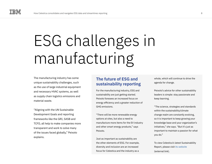### ESG challenges in manufacturing

The manufacturing industry has some unique sustainability challenges, such as the use of large industrial equipment and necessary HVAC systems, as well as supply chain logistics emissions and material waste.

"Aligning with the UN Sustainable Development Goals and reporting frameworks like the GRI, SASB and TCFD, all help to make companies more transparent and work to solve many of the issues faced globally," Peixoto explains.

#### **The future of ESG and sustainability reporting**

For the manufacturing industry, ESG and sustainability are just getting started. Peixoto foresees an increased focus on energy efficiency and a greater reduction of GHG emissions.

"There will be more renewable energy options at sites, but also a need to manufacture more items for the EV industry and other smart energy products," says Peixoto.

Just as important as sustainability are the other elements of ESG. For example, diversity and inclusion are an increased focus for Celestica and the industry as a

whole, which will continue to drive the agenda for change.

Peixoto's advice for other sustainability leaders is simple: stay passionate and keep learning.

"The science, strategies and standards within the sustainability/climate change realm are constantly evolving, so it is important to keep growing your knowledge base and your organization's initiatives," she says. "But it's just as important to maintain a passion for what you do."

To view Celestica's latest Sustainability Report, please visit [its website](https://www.celestica.com/about-us/sustainability/sustainability-reporting) (external link).